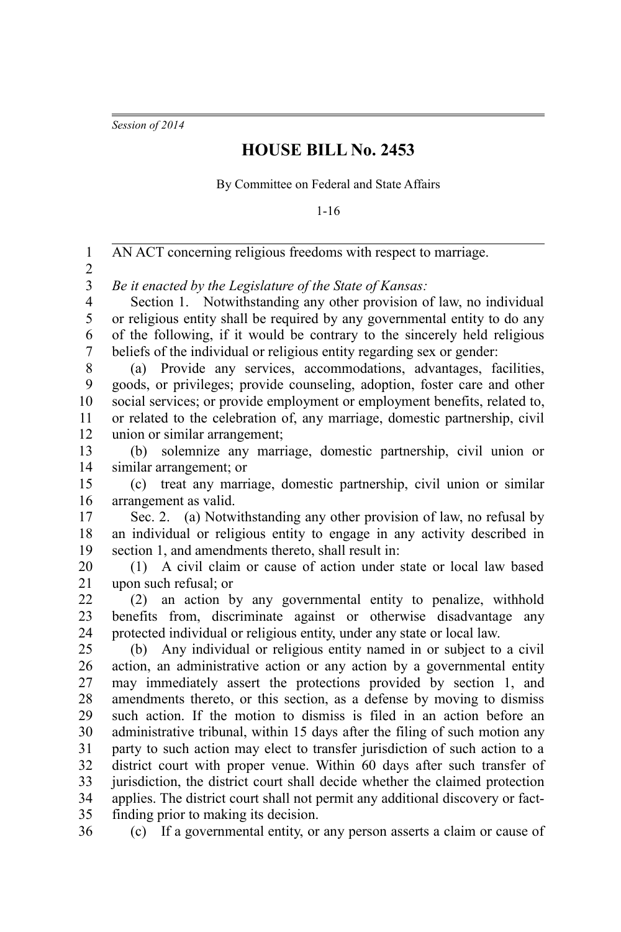*Session of 2014*

## **HOUSE BILL No. 2453**

By Committee on Federal and State Affairs

1-16

| $\mathbf{1}$                                       | AN ACT concerning religious freedoms with respect to marriage.                                                                   |
|----------------------------------------------------|----------------------------------------------------------------------------------------------------------------------------------|
| $\overline{2}$                                     |                                                                                                                                  |
| $\overline{\mathbf{3}}$<br>$\overline{\mathbf{4}}$ | Be it enacted by the Legislature of the State of Kansas:<br>Section 1. Notwithstanding any other provision of law, no individual |
| 5                                                  | or religious entity shall be required by any governmental entity to do any                                                       |
| 6                                                  | of the following, if it would be contrary to the sincerely held religious                                                        |
| $\boldsymbol{7}$                                   | beliefs of the individual or religious entity regarding sex or gender:                                                           |
| 8                                                  | (a) Provide any services, accommodations, advantages, facilities,                                                                |
| 9                                                  | goods, or privileges; provide counseling, adoption, foster care and other                                                        |
| 10                                                 | social services; or provide employment or employment benefits, related to,                                                       |
| 11                                                 | or related to the celebration of, any marriage, domestic partnership, civil                                                      |
| 12                                                 | union or similar arrangement;                                                                                                    |
| 13                                                 | solemnize any marriage, domestic partnership, civil union or<br>(b)                                                              |
| 14                                                 | similar arrangement; or                                                                                                          |
| 15                                                 | treat any marriage, domestic partnership, civil union or similar<br>(c)                                                          |
| 16                                                 | arrangement as valid.                                                                                                            |
| 17                                                 | Sec. 2. (a) Notwithstanding any other provision of law, no refusal by                                                            |
| 18                                                 | an individual or religious entity to engage in any activity described in                                                         |
| 19                                                 | section 1, and amendments thereto, shall result in:                                                                              |
| 20                                                 | (1) A civil claim or cause of action under state or local law based                                                              |
| 21                                                 | upon such refusal; or                                                                                                            |
| 22                                                 | (2) an action by any governmental entity to penalize, withhold                                                                   |
| 23                                                 | benefits from, discriminate against or otherwise disadvantage any                                                                |
| 24                                                 | protected individual or religious entity, under any state or local law.                                                          |
| 25                                                 | (b) Any individual or religious entity named in or subject to a civil                                                            |
| 26                                                 | action, an administrative action or any action by a governmental entity                                                          |
| 27                                                 | may immediately assert the protections provided by section 1, and                                                                |
| 28                                                 | amendments thereto, or this section, as a defense by moving to dismiss                                                           |
| 29                                                 | such action. If the motion to dismiss is filed in an action before an                                                            |
| 30                                                 | administrative tribunal, within 15 days after the filing of such motion any                                                      |
| 31                                                 | party to such action may elect to transfer jurisdiction of such action to a                                                      |
| 32                                                 | district court with proper venue. Within 60 days after such transfer of                                                          |
| 33                                                 | jurisdiction, the district court shall decide whether the claimed protection                                                     |
| 34                                                 | applies. The district court shall not permit any additional discovery or fact-                                                   |
| 35                                                 | finding prior to making its decision.                                                                                            |
| 36                                                 | (c) If a governmental entity, or any person asserts a claim or cause of                                                          |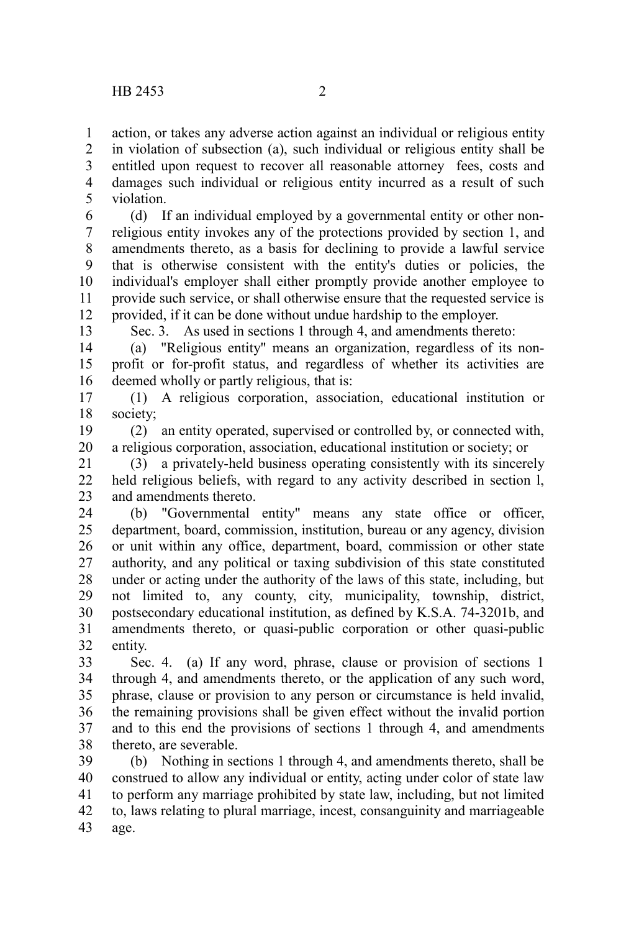action, or takes any adverse action against an individual or religious entity in violation of subsection (a), such individual or religious entity shall be entitled upon request to recover all reasonable attorney fees, costs and damages such individual or religious entity incurred as a result of such violation. 1 2 3 4 5

(d) If an individual employed by a governmental entity or other nonreligious entity invokes any of the protections provided by section 1, and amendments thereto, as a basis for declining to provide a lawful service that is otherwise consistent with the entity's duties or policies, the individual's employer shall either promptly provide another employee to provide such service, or shall otherwise ensure that the requested service is provided, if it can be done without undue hardship to the employer. 6 7 8 9 10 11 12

13

Sec. 3. As used in sections 1 through 4, and amendments thereto:

(a) "Religious entity" means an organization, regardless of its nonprofit or for-profit status, and regardless of whether its activities are deemed wholly or partly religious, that is: 14 15 16

(1) A religious corporation, association, educational institution or society; 17 18

(2) an entity operated, supervised or controlled by, or connected with, a religious corporation, association, educational institution or society; or 19 20

(3) a privately-held business operating consistently with its sincerely held religious beliefs, with regard to any activity described in section l, and amendments thereto. 21 22 23

(b) "Governmental entity" means any state office or officer, department, board, commission, institution, bureau or any agency, division or unit within any office, department, board, commission or other state authority, and any political or taxing subdivision of this state constituted under or acting under the authority of the laws of this state, including, but not limited to, any county, city, municipality, township, district, postsecondary educational institution, as defined by K.S.A. 74-3201b, and amendments thereto, or quasi-public corporation or other quasi-public entity. 24 25 26 27 28 29 30 31 32

Sec. 4. (a) If any word, phrase, clause or provision of sections 1 through 4, and amendments thereto, or the application of any such word, phrase, clause or provision to any person or circumstance is held invalid, the remaining provisions shall be given effect without the invalid portion and to this end the provisions of sections 1 through 4, and amendments thereto, are severable. 33 34 35 36 37 38

(b) Nothing in sections 1 through 4, and amendments thereto, shall be construed to allow any individual or entity, acting under color of state law to perform any marriage prohibited by state law, including, but not limited to, laws relating to plural marriage, incest, consanguinity and marriageable age. 39 40 41 42 43